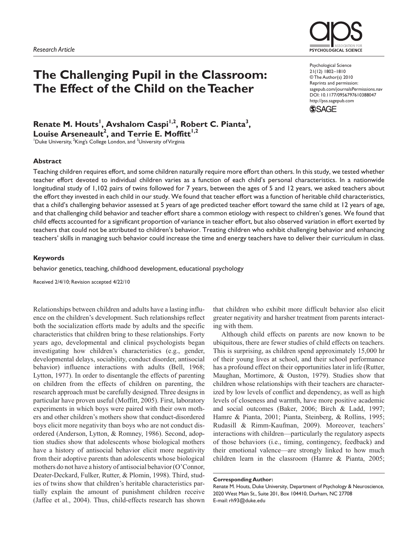# **The Challenging Pupil in the Classroom: The Effect of the Child on the Teacher**

**PSYCHOLOGICAL SCIENCI** 

Psychological Science 21(12) 1802–1810 © The Author(s) 2010 Reprints and permission: sagepub.com/journalsPermissions.nav DOI: 10.1177/0956797610388047 http://pss.sagepub.com



Renate M. Houts<sup>1</sup>, Avshalom Caspi<sup>1,2</sup>, Robert C. Pianta<sup>3</sup>, Louise Arseneault<sup>2</sup>, and Terrie E. Moffitt<sup>1,2</sup>

<sup>1</sup>Duke University, <sup>2</sup>King's College London, and <sup>3</sup>University of Virginia

### **Abstract**

Teaching children requires effort, and some children naturally require more effort than others. In this study, we tested whether teacher effort devoted to individual children varies as a function of each child's personal characteristics. In a nationwide longitudinal study of 1,102 pairs of twins followed for 7 years, between the ages of 5 and 12 years, we asked teachers about the effort they invested in each child in our study. We found that teacher effort was a function of heritable child characteristics, that a child's challenging behavior assessed at 5 years of age predicted teacher effort toward the same child at 12 years of age, and that challenging child behavior and teacher effort share a common etiology with respect to children's genes. We found that child effects accounted for a significant proportion of variance in teacher effort, but also observed variation in effort exerted by teachers that could not be attributed to children's behavior. Treating children who exhibit challenging behavior and enhancing teachers' skills in managing such behavior could increase the time and energy teachers have to deliver their curriculum in class.

### **Keywords**

behavior genetics, teaching, childhood development, educational psychology

Received 2/4/10; Revision accepted 4/22/10

Relationships between children and adults have a lasting influence on the children's development. Such relationships reflect both the socialization efforts made by adults and the specific characteristics that children bring to these relationships. Forty years ago, developmental and clinical psychologists began investigating how children's characteristics (e.g., gender, developmental delays, sociability, conduct disorder, antisocial behavior) influence interactions with adults (Bell, 1968; Lytton, 1977). In order to disentangle the effects of parenting on children from the effects of children on parenting, the research approach must be carefully designed. Three designs in particular have proven useful (Moffitt, 2005). First, laboratory experiments in which boys were paired with their own mothers and other children's mothers show that conduct-disordered boys elicit more negativity than boys who are not conduct disordered (Anderson, Lytton, & Romney, 1986). Second, adoption studies show that adolescents whose biological mothers have a history of antisocial behavior elicit more negativity from their adoptive parents than adolescents whose biological mothers do not have a history of antisocial behavior (O'Connor, Deater-Deckard, Fulker, Rutter, & Plomin, 1998). Third, studies of twins show that children's heritable characteristics partially explain the amount of punishment children receive (Jaffee et al., 2004). Thus, child-effects research has shown

that children who exhibit more difficult behavior also elicit greater negativity and harsher treatment from parents interacting with them.

Although child effects on parents are now known to be ubiquitous, there are fewer studies of child effects on teachers. This is surprising, as children spend approximately 15,000 hr of their young lives at school, and their school performance has a profound effect on their opportunities later in life (Rutter, Maughan, Mortimore, & Ouston, 1979). Studies show that children whose relationships with their teachers are characterized by low levels of conflict and dependency, as well as high levels of closeness and warmth, have more positive academic and social outcomes (Baker, 2006; Birch & Ladd, 1997; Hamre & Pianta, 2001; Pianta, Steinberg, & Rollins, 1995; Rudasill & Rimm-Kaufman, 2009). Moreover, teachers' interactions with children—particularly the regulatory aspects of those behaviors (i.e., timing, contingency, feedback) and their emotional valence—are strongly linked to how much children learn in the classroom (Hamre & Pianta, 2005;

Renate M. Houts, Duke University, Department of Psychology & Neuroscience, 2020 West Main St., Suite 201, Box 104410, Durham, NC 27708 E-mail: rh93@duke.edu

**Corresponding Author:**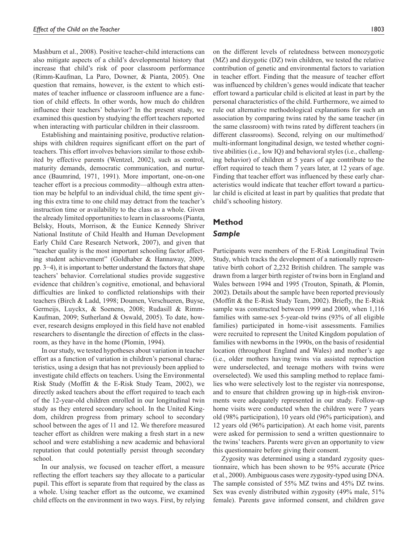Mashburn et al., 2008). Positive teacher-child interactions can also mitigate aspects of a child's developmental history that increase that child's risk of poor classroom performance (Rimm-Kaufman, La Paro, Downer, & Pianta, 2005). One question that remains, however, is the extent to which estimates of teacher influence or classroom influence are a function of child effects. In other words, how much do children influence their teachers' behavior? In the present study, we examined this question by studying the effort teachers reported when interacting with particular children in their classroom.

Establishing and maintaining positive, productive relationships with children requires significant effort on the part of teachers. This effort involves behaviors similar to those exhibited by effective parents (Wentzel, 2002), such as control, maturity demands, democratic communication, and nurturance (Baumrind, 1971, 1991). More important, one-on-one teacher effort is a precious commodity—although extra attention may be helpful to an individual child, the time spent giving this extra time to one child may detract from the teacher's instruction time or availability to the class as a whole. Given the already limited opportunities to learn in classrooms (Pianta, Belsky, Houts, Morrison, & the Eunice Kennedy Shriver National Institute of Child Health and Human Development Early Child Care Research Network, 2007), and given that "teacher quality is the most important schooling factor affecting student achievement" (Goldhaber & Hannaway, 2009, pp. 3−4), it is important to better understand the factors that shape teachers' behavior. Correlational studies provide suggestive evidence that children's cognitive, emotional, and behavioral difficulties are linked to conflicted relationships with their teachers (Birch & Ladd, 1998; Doumen, Verschueren, Buyse, Germeijs, Luyckx, & Soenens, 2008; Rudasill & Rimm-Kaufman, 2009; Sutherland & Oswald, 2005). To date, however, research designs employed in this field have not enabled researchers to disentangle the direction of effects in the classroom, as they have in the home (Plomin, 1994).

In our study, we tested hypotheses about variation in teacher effort as a function of variation in children's personal characteristics, using a design that has not previously been applied to investigate child effects on teachers. Using the Environmental Risk Study (Moffitt & the E-Risk Study Team, 2002), we directly asked teachers about the effort required to teach each of the 12-year-old children enrolled in our longitudinal twin study as they entered secondary school. In the United Kingdom, children progress from primary school to secondary school between the ages of 11 and 12. We therefore measured teacher effort as children were making a fresh start in a new school and were establishing a new academic and behavioral reputation that could potentially persist through secondary school.

In our analysis, we focused on teacher effort, a measure reflecting the effort teachers say they allocate to a particular pupil. This effort is separate from that required by the class as a whole. Using teacher effort as the outcome, we examined child effects on the environment in two ways. First, by relying

on the different levels of relatedness between monozygotic (MZ) and dizygotic (DZ) twin children, we tested the relative contribution of genetic and environmental factors to variation in teacher effort. Finding that the measure of teacher effort was influenced by children's genes would indicate that teacher effort toward a particular child is elicited at least in part by the personal characteristics of the child. Furthermore, we aimed to rule out alternative methodological explanations for such an association by comparing twins rated by the same teacher (in the same classroom) with twins rated by different teachers (in different classrooms). Second, relying on our multimethod/ multi-informant longitudinal design, we tested whether cognitive abilities (i.e., low IQ) and behavioral styles (i.e., challenging behavior) of children at 5 years of age contribute to the effort required to teach them 7 years later, at 12 years of age. Finding that teacher effort was influenced by these early characteristics would indicate that teacher effort toward a particular child is elicited at least in part by qualities that predate that child's schooling history.

# **Method**

### *Sample*

Participants were members of the E-Risk Longitudinal Twin Study, which tracks the development of a nationally representative birth cohort of 2,232 British children. The sample was drawn from a larger birth register of twins born in England and Wales between 1994 and 1995 (Trouton, Spinath, & Plomin, 2002). Details about the sample have been reported previously (Moffitt & the E-Risk Study Team, 2002). Briefly, the E-Risk sample was constructed between 1999 and 2000, when 1,116 families with same-sex 5-year-old twins (93% of all eligible families) participated in home-visit assessments. Families were recruited to represent the United Kingdom population of families with newborns in the 1990s, on the basis of residential location (throughout England and Wales) and mother's age (i.e., older mothers having twins via assisted reproduction were underselected, and teenage mothers with twins were overselected). We used this sampling method to replace families who were selectively lost to the register via nonresponse, and to ensure that children growing up in high-risk environments were adequately represented in our study. Follow-up home visits were conducted when the children were 7 years old (98% participation), 10 years old (96% participation), and 12 years old (96% participation). At each home visit, parents were asked for permission to send a written questionnaire to the twins' teachers. Parents were given an opportunity to view this questionnaire before giving their consent.

Zygosity was determined using a standard zygosity questionnaire, which has been shown to be 95% accurate (Price et al., 2000). Ambiguous cases were zygosity-typed using DNA. The sample consisted of 55% MZ twins and 45% DZ twins. Sex was evenly distributed within zygosity (49% male, 51% female). Parents gave informed consent, and children gave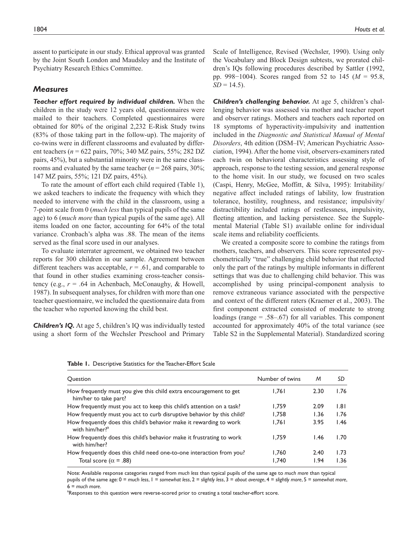assent to participate in our study. Ethical approval was granted by the Joint South London and Maudsley and the Institute of Psychiatry Research Ethics Committee.

#### *Measures*

*Teacher effort required by individual children.* When the children in the study were 12 years old, questionnaires were mailed to their teachers. Completed questionnaires were obtained for 80% of the original 2,232 E-Risk Study twins (83% of those taking part in the follow-up). The majority of co-twins were in different classrooms and evaluated by different teachers (*n* = 622 pairs, 70%; 340 MZ pairs, 55%; 282 DZ pairs, 45%), but a substantial minority were in the same classrooms and evaluated by the same teacher ( $n = 268$  pairs, 30%; 147 MZ pairs, 55%; 121 DZ pairs, 45%).

To rate the amount of effort each child required (Table 1), we asked teachers to indicate the frequency with which they needed to intervene with the child in the classroom, using a 7-point scale from 0 (*much less* than typical pupils of the same age) to 6 (*much more* than typical pupils of the same age). All items loaded on one factor, accounting for 64% of the total variance. Cronbach's alpha was .88. The mean of the items served as the final score used in our analyses.

To evaluate interrater agreement, we obtained two teacher reports for 300 children in our sample. Agreement between different teachers was acceptable,  $r = .61$ , and comparable to that found in other studies examining cross-teacher consistency (e.g.,  $r = .64$  in Achenbach, McConaughy, & Howell, 1987). In subsequent analyses, for children with more than one teacher questionnaire, we included the questionnaire data from the teacher who reported knowing the child best.

*Children's IQ.* At age 5, children's IQ was individually tested using a short form of the Wechsler Preschool and Primary

Scale of Intelligence, Revised (Wechsler, 1990). Using only the Vocabulary and Block Design subtests, we prorated children's IQs following procedures described by Sattler (1992, pp. 998−1004). Scores ranged from 52 to 145 (*M* = 95.8,  $SD = 14.5$ .

*Children's challenging behavior.* At age 5, children's challenging behavior was assessed via mother and teacher report and observer ratings. Mothers and teachers each reported on 18 symptoms of hyperactivity-impulsivity and inattention included in the *Diagnostic and Statistical Manual of Mental Disorders*, 4th edition (DSM–IV; American Psychiatric Association, 1994). After the home visit, observers-examiners rated each twin on behavioral characteristics assessing style of approach, response to the testing session, and general response to the home visit. In our study, we focused on two scales (Caspi, Henry, McGee, Moffitt, & Silva, 1995): Irritability/ negative affect included ratings of lability, low frustration tolerance, hostility, roughness, and resistance; impulsivity/ distractibility included ratings of restlessness, impulsivity, fleeting attention, and lacking persistence. See the Supplemental Material (Table S1) available online for individual scale items and reliability coefficients.

We created a composite score to combine the ratings from mothers, teachers, and observers. This score represented psychometrically "true" challenging child behavior that reflected only the part of the ratings by multiple informants in different settings that was due to challenging child behavior. This was accomplished by using principal-component analysis to remove extraneous variance associated with the perspective and context of the different raters (Kraemer et al., 2003). The first component extracted consisted of moderate to strong loadings (range = .58–.67) for all variables. This component accounted for approximately 40% of the total variance (see Table S2 in the Supplemental Material). Standardized scoring

| <b>Ouestion</b>                                                                                   | Number of twins | M    | SD   |
|---------------------------------------------------------------------------------------------------|-----------------|------|------|
| How frequently must you give this child extra encouragement to get<br>him/her to take part?       | 1.761           | 2.30 | 1.76 |
| How frequently must you act to keep this child's attention on a task?                             | 1.759           | 2.09 | 1.81 |
| How frequently must you act to curb disruptive behavior by this child?                            | 1.758           | 1.36 | 1.76 |
| How frequently does this child's behavior make it rewarding to work<br>with him/her? <sup>a</sup> | 1.761           | 3.95 | 1.46 |
| How frequently does this child's behavior make it frustrating to work<br>with him/her?            | 1.759           | 1.46 | 1.70 |
| How frequently does this child need one-to-one interaction from you?                              | 1.760           | 2.40 | 1.73 |
| Total score ( $\alpha$ = .88)                                                                     | 1.740           | 1.94 | 1.36 |

**Table 1.** Descriptive Statistics for the Teacher-Effort Scale

Note: Available response categories ranged from *much less* than typical pupils of the same age to *much more* than typical pupils of the same age: 0 = *much less*, 1 = *somewhat less*, 2 = *slightly less*, 3 = *about average*, 4 = *slightly more*, 5 = *somewhat more*, 6 = *much more*.

<sup>a</sup>Responses to this question were reverse-scored prior to creating a total teacher-effort score.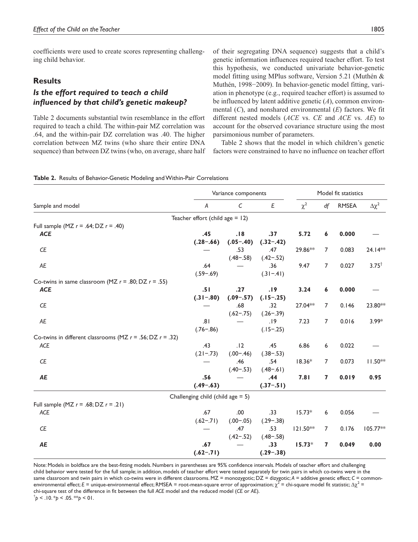coefficients were used to create scores representing challenging child behavior.

### **Results**

## *Is the effort required to teach a child influenced by that child's genetic makeup?*

Table 2 documents substantial twin resemblance in the effort required to teach a child. The within-pair MZ correlation was .64, and the within-pair DZ correlation was .40. The higher correlation between MZ twins (who share their entire DNA sequence) than between DZ twins (who, on average, share half of their segregating DNA sequence) suggests that a child's genetic information influences required teacher effort. To test this hypothesis, we conducted univariate behavior-genetic model fitting using MPlus software, Version 5.21 (Muthén & Muthén, 1998−2009). In behavior-genetic model fitting, variation in phenotype (e.g., required teacher effort) is assumed to be influenced by latent additive genetic (*A*), common environmental (*C*), and nonshared environmental (*E*) factors. We fit different nested models (*ACE* vs. *CE* and *ACE* vs. *AE*) to account for the observed covariance structure using the most parsimonious number of parameters.

Table 2 shows that the model in which children's genetic factors were constrained to have no influence on teacher effort

|                                                                 | Variance components                  |             |               | Model fit statistics |                |              |                 |
|-----------------------------------------------------------------|--------------------------------------|-------------|---------------|----------------------|----------------|--------------|-----------------|
| Sample and model                                                | Α                                    | $\mathsf C$ | E             | $\chi^2$             | df             | <b>RMSEA</b> | $\Delta \chi^2$ |
|                                                                 | Teacher effort (child age $= 12$ )   |             |               |                      |                |              |                 |
| Full sample (MZ $r = .64$ ; DZ $r = .40$ )                      |                                      |             |               |                      |                |              |                 |
| <b>ACE</b>                                                      | .45                                  | .18         | .37           | 5.72                 | 6              | 0.000        |                 |
|                                                                 | $(.28-.66)$                          | $(.05-.40)$ | $(.32-.42)$   |                      |                |              |                 |
| CE                                                              |                                      | .53         | .47           | 29.86**              | $\overline{7}$ | 0.083        | 24.14**         |
|                                                                 |                                      | $(.48-.58)$ | $(.42-.52)$   |                      |                |              |                 |
| AE                                                              | .64                                  |             | .36           | 9.47                 | $\overline{7}$ | 0.027        | $3.75^+$        |
|                                                                 | $(.59-.69)$                          |             | $(.31 - .41)$ |                      |                |              |                 |
| Co-twins in same classroom (MZ $r = .80$ ; DZ $r = .55$ )       |                                      |             |               |                      |                |              |                 |
| <b>ACE</b>                                                      | .51                                  | .27         | .19           | 3.24                 | 6              | 0.000        |                 |
|                                                                 | $(.31-.80)$                          | $(.09-.57)$ | $(.15-.25)$   |                      |                |              |                 |
| CE                                                              |                                      | .68         | .32           | 27.04 **             | $\overline{7}$ | 0.146        | 23.80**         |
|                                                                 |                                      | $(.62-.75)$ | $(.26-.39)$   |                      |                |              |                 |
| AE                                                              | .81                                  |             | .19           | 7.23                 | 7              | 0.016        | $3.99*$         |
|                                                                 | $(.76 - .86)$                        |             | $(.15-.25)$   |                      |                |              |                 |
| Co-twins in different classrooms (MZ $r = .56$ ; DZ $r = .32$ ) |                                      |             |               |                      |                |              |                 |
| ACE                                                             | .43                                  | .12         | .45           | 6.86                 | 6              | 0.022        |                 |
|                                                                 | $(.21-.73)$                          | $(.00-.46)$ | $(.38 - .53)$ |                      |                |              |                 |
| CE                                                              |                                      | .46         | .54           | $18.36*$             | $\overline{7}$ | 0.073        | $11.50**$       |
|                                                                 |                                      | $(.40-.53)$ | $(.48 - .61)$ |                      |                |              |                 |
| AE                                                              | .56                                  |             | .44           | 7.81                 | 7              | 0.019        | 0.95            |
|                                                                 | $(.49-.63)$                          |             | $(.37-.51)$   |                      |                |              |                 |
|                                                                 | Challenging child (child age $= 5$ ) |             |               |                      |                |              |                 |
| Full sample (MZ $r = .68$ ; DZ $r = .21$ )                      |                                      |             |               |                      |                |              |                 |
| ACE                                                             | .67                                  | .00         | .33           | $15.73*$             | 6              | 0.056        |                 |
|                                                                 | $(.62-.71)$                          | $(.00-.05)$ | $(.29-.38)$   |                      |                |              |                 |
| $C\!E$                                                          |                                      | .47         | .53           | $121.50**$           | $\overline{7}$ | 0.176        | 105.77**        |
|                                                                 |                                      | $(.42-.52)$ | $(.48-.58)$   |                      |                |              |                 |
| AE                                                              | .67                                  |             | .33           | $15.73*$             | 7              | 0.049        | 0.00            |
|                                                                 | $(.62-.71)$                          |             | $(.29-.38)$   |                      |                |              |                 |

Note: Models in boldface are the best-fitting models. Numbers in parentheses are 95% confidence intervals. Models of teacher effort and challenging child behavior were tested for the full sample; in addition, models of teacher effort were tested separately for twin pairs in which co-twins were in the same classroom and twin pairs in which co-twins were in different classrooms. MZ = monozygotic; DZ = dizygotic; *A* = additive genetic effect; *C* = commonenvironmental effect; E = unique-environmental effect; RMSEA = root-mean-square error of approximation;  $\chi^2$  = chi-square model fit statistic; Δχ $^2$  = chi-square test of the difference in fit between the full *ACE* model and the reduced model (*CE* or *AE*).

 $\phi$  < .10. \**p* < .05. \*\**p* < 01.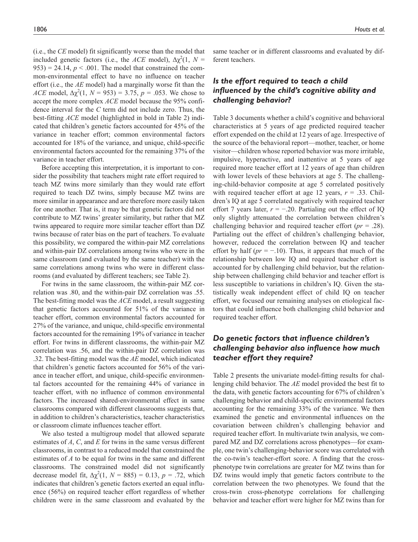(i.e., the *CE* model) fit significantly worse than the model that included genetic factors (i.e., the *ACE* model),  $\Delta \chi^2(1, N =$  $953$ ) = 24.14,  $p < .001$ . The model that constrained the common-environmental effect to have no influence on teacher effort (i.e., the *AE* model) had a marginally worse fit than the *ACE* model,  $\Delta \chi^2(1, N = 953) = 3.75$ ,  $p = .053$ . We chose to accept the more complex *ACE* model because the 95% confidence interval for the *C* term did not include zero. Thus, the best-fitting *ACE* model (highlighted in bold in Table 2) indicated that children's genetic factors accounted for 45% of the variance in teacher effort; common environmental factors accounted for 18% of the variance, and unique, child-specific environmental factors accounted for the remaining 37% of the variance in teacher effort.

Before accepting this interpretation, it is important to consider the possibility that teachers might rate effort required to teach MZ twins more similarly than they would rate effort required to teach DZ twins, simply because MZ twins are more similar in appearance and are therefore more easily taken for one another. That is, it may be that genetic factors did not contribute to MZ twins' greater similarity, but rather that MZ twins appeared to require more similar teacher effort than DZ twins because of rater bias on the part of teachers. To evaluate this possibility, we compared the within-pair MZ correlations and within-pair DZ correlations among twins who were in the same classroom (and evaluated by the same teacher) with the same correlations among twins who were in different classrooms (and evaluated by different teachers; see Table 2).

For twins in the same classroom, the within-pair MZ correlation was .80, and the within-pair DZ correlation was .55. The best-fitting model was the *ACE* model, a result suggesting that genetic factors accounted for 51% of the variance in teacher effort, common environmental factors accounted for 27% of the variance, and unique, child-specific environmental factors accounted for the remaining 19% of variance in teacher effort. For twins in different classrooms, the within-pair MZ correlation was .56, and the within-pair DZ correlation was .32. The best-fitting model was the *AE* model, which indicated that children's genetic factors accounted for 56% of the variance in teacher effort, and unique, child-specific environmental factors accounted for the remaining 44% of variance in teacher effort, with no influence of common environmental factors. The increased shared-environmental effect in same classrooms compared with different classrooms suggests that, in addition to children's characteristics, teacher characteristics or classroom climate influences teacher effort.

We also tested a multigroup model that allowed separate estimates of *A*, *C*, and *E* for twins in the same versus different classrooms, in contrast to a reduced model that constrained the estimates of *A* to be equal for twins in the same and different classrooms. The constrained model did not significantly decrease model fit,  $\Delta \chi^2(1, N = 885) = 0.13$ ,  $p = .72$ , which indicates that children's genetic factors exerted an equal influence (56%) on required teacher effort regardless of whether children were in the same classroom and evaluated by the

same teacher or in different classrooms and evaluated by different teachers.

# *Is the effort required to teach a child influenced by the child's cognitive ability and challenging behavior?*

Table 3 documents whether a child's cognitive and behavioral characteristics at 5 years of age predicted required teacher effort expended on the child at 12 years of age. Irrespective of the source of the behavioral report—mother, teacher, or home visitor—children whose reported behavior was more irritable, impulsive, hyperactive, and inattentive at 5 years of age required more teacher effort at 12 years of age than children with lower levels of these behaviors at age 5. The challenging-child-behavior composite at age 5 correlated positively with required teacher effort at age 12 years, *r* = .33. Children's IQ at age 5 correlated negatively with required teacher effort 7 years later,  $r = -.20$ . Partialing out the effect of IO only slightly attenuated the correlation between children's challenging behavior and required teacher effort (*pr* = .28). Partialing out the effect of children's challenging behavior, however, reduced the correlation between IQ and teacher effort by half  $(pr = -10)$ . Thus, it appears that much of the relationship between low IQ and required teacher effort is accounted for by challenging child behavior, but the relationship between challenging child behavior and teacher effort is less susceptible to variations in children's IQ. Given the statistically weak independent effect of child IQ on teacher effort, we focused our remaining analyses on etiological factors that could influence both challenging child behavior and required teacher effort.

# *Do genetic factors that influence children's challenging behavior also influence how much teacher effort they require?*

Table 2 presents the univariate model-fitting results for challenging child behavior. The *AE* model provided the best fit to the data, with genetic factors accounting for 67% of children's challenging behavior and child-specific environmental factors accounting for the remaining 33% of the variance. We then examined the genetic and environmental influences on the covariation between children's challenging behavior and required teacher effort. In multivariate twin analysis, we compared MZ and DZ correlations across phenotypes—for example, one twin's challenging-behavior score was correlated with the co-twin's teacher-effort score. A finding that the crossphenotype twin correlations are greater for MZ twins than for DZ twins would imply that genetic factors contribute to the correlation between the two phenotypes. We found that the cross-twin cross-phenotype correlations for challenging behavior and teacher effort were higher for MZ twins than for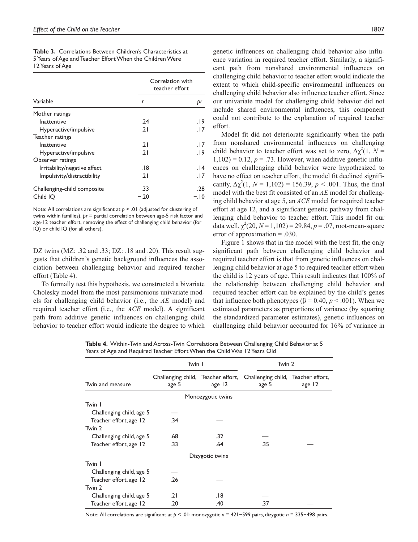|                 | <b>Table 3.</b> Correlations Between Children's Characteristics at |  |
|-----------------|--------------------------------------------------------------------|--|
|                 | 5 Years of Age and Teacher Effort When the Children Were           |  |
| 12 Years of Age |                                                                    |  |

|                              | Correlation with<br>teacher effort |        |  |
|------------------------------|------------------------------------|--------|--|
| Variable                     | r                                  | þr     |  |
| Mother ratings               |                                    |        |  |
| Inattentive                  | .24                                | 19.    |  |
| Hyperactive/impulsive        | .21                                | .17    |  |
| Teacher ratings              |                                    |        |  |
| Inattentive                  | .21                                | . 17   |  |
| Hyperactive/impulsive        | .21                                | 19.    |  |
| Observer ratings             |                                    |        |  |
| Irritability/negative affect | . 18                               | 14.    |  |
| Impulsivity/distractibility  | .21                                | . 17   |  |
| Challenging-child composite  | .33                                | .28    |  |
| Child IO                     | $-.20$                             | $-.10$ |  |

Note: All correlations are significant at *p* < .01 (adjusted for clustering of twins within families). *pr* = partial correlation between age-5 risk factor and age-12 teacher effort, removing the effect of challenging child behavior (for IQ) or child IQ (for all others).

DZ twins (MZ: .32 and .33; DZ: .18 and .20). This result suggests that children's genetic background influences the association between challenging behavior and required teacher effort (Table 4).

To formally test this hypothesis, we constructed a bivariate Cholesky model from the most parsimonious univariate models for challenging child behavior (i.e., the *AE* model) and required teacher effort (i.e., the *ACE* model). A significant path from additive genetic influences on challenging child behavior to teacher effort would indicate the degree to which

ence variation in required teacher effort. Similarly, a significant path from nonshared environmental influences on challenging child behavior to teacher effort would indicate the extent to which child-specific environmental influences on challenging child behavior also influence teacher effort. Since our univariate model for challenging child behavior did not include shared environmental influences, this component could not contribute to the explanation of required teacher effort.

Model fit did not deteriorate significantly when the path from nonshared environmental influences on challenging child behavior to teacher effort was set to zero,  $\Delta \chi^2(1, N =$  $1,102$ ) = 0.12,  $p = .73$ . However, when additive genetic influences on challenging child behavior were hypothesized to have no effect on teacher effort, the model fit declined significantly,  $\Delta \chi^2(1, N = 1,102) = 156.39, p < .001$ . Thus, the final model with the best fit consisted of an *AE* model for challenging child behavior at age 5, an *ACE* model for required teacher effort at age 12, and a significant genetic pathway from challenging child behavior to teacher effort. This model fit our data well,  $\chi^2(20, N=1,102) = 29.84, p=.07$ , root-mean-square error of approximation  $= .030$ .

Figure 1 shows that in the model with the best fit, the only significant path between challenging child behavior and required teacher effort is that from genetic influences on challenging child behavior at age 5 to required teacher effort when the child is 12 years of age. This result indicates that 100% of the relationship between challenging child behavior and required teacher effort can be explained by the child's genes that influence both phenotypes ( $β = 0.40, p < .001$ ). When we estimated parameters as proportions of variance (by squaring the standardized parameter estimates), genetic influences on challenging child behavior accounted for 16% of variance in

**Table 4.** Within-Twin and Across-Twin Correlations Between Challenging Child Behavior at 5 Years of Age and Required Teacher Effort When the Child Was 12 Years Old

|                          | Twin I                                      |                   | Twin 2                                      |        |  |
|--------------------------|---------------------------------------------|-------------------|---------------------------------------------|--------|--|
| Twin and measure         | Challenging child, Teacher effort,<br>age 5 | age 12            | Challenging child, Teacher effort,<br>age 5 | age 12 |  |
|                          |                                             | Monozygotic twins |                                             |        |  |
| Twin I                   |                                             |                   |                                             |        |  |
| Challenging child, age 5 |                                             |                   |                                             |        |  |
| Teacher effort, age 12   | .34                                         |                   |                                             |        |  |
| Twin 2                   |                                             |                   |                                             |        |  |
| Challenging child, age 5 | .68                                         | .32               |                                             |        |  |
| Teacher effort, age 12   | .33                                         | .64               | .35                                         |        |  |
|                          |                                             | Dizygotic twins   |                                             |        |  |
| Twin I                   |                                             |                   |                                             |        |  |
| Challenging child, age 5 |                                             |                   |                                             |        |  |
| Teacher effort, age 12   | .26                                         |                   |                                             |        |  |
| Twin 2                   |                                             |                   |                                             |        |  |
| Challenging child, age 5 | .21                                         | .18               |                                             |        |  |
| Teacher effort, age 12   | .20                                         | .40               | .37                                         |        |  |

Note: All correlations are significant at *p* < .01; monozygotic *n* = 421−599 pairs, dizygotic *n* = 335−498 pairs.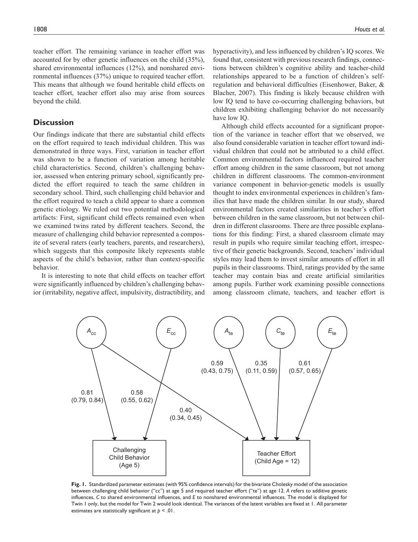teacher effort. The remaining variance in teacher effort was accounted for by other genetic influences on the child (35%), shared environmental influences (12%), and nonshared environmental influences (37%) unique to required teacher effort. This means that although we found heritable child effects on teacher effort, teacher effort also may arise from sources beyond the child.

### **Discussion**

Our findings indicate that there are substantial child effects on the effort required to teach individual children. This was demonstrated in three ways. First, variation in teacher effort was shown to be a function of variation among heritable child characteristics. Second, children's challenging behavior, assessed when entering primary school, significantly predicted the effort required to teach the same children in secondary school. Third, such challenging child behavior and the effort required to teach a child appear to share a common genetic etiology. We ruled out two potential methodological artifacts: First, significant child effects remained even when we examined twins rated by different teachers. Second, the measure of challenging child behavior represented a composite of several raters (early teachers, parents, and researchers), which suggests that this composite likely represents stable aspects of the child's behavior, rather than context-specific behavior.

It is interesting to note that child effects on teacher effort were significantly influenced by children's challenging behavior (irritability, negative affect, impulsivity, distractibility, and hyperactivity), and less influenced by children's IQ scores. We found that, consistent with previous research findings, connections between children's cognitive ability and teacher-child relationships appeared to be a function of children's selfregulation and behavioral difficulties (Eisenhower, Baker, & Blacher, 2007). This finding is likely because children with low IQ tend to have co-occurring challenging behaviors, but children exhibiting challenging behavior do not necessarily have low IQ.

Although child effects accounted for a significant proportion of the variance in teacher effort that we observed, we also found considerable variation in teacher effort toward individual children that could not be attributed to a child effect. Common environmental factors influenced required teacher effort among children in the same classroom, but not among children in different classrooms. The common-environment variance component in behavior-genetic models is usually thought to index environmental experiences in children's families that have made the children similar. In our study, shared environmental factors created similarities in teacher's effort between children in the same classroom, but not between children in different classrooms. There are three possible explanations for this finding: First, a shared classroom climate may result in pupils who require similar teaching effort, irrespective of their genetic backgrounds. Second, teachers' individual styles may lead them to invest similar amounts of effort in all pupils in their classrooms. Third, ratings provided by the same teacher may contain bias and create artificial similarities among pupils. Further work examining possible connections among classroom climate, teachers, and teacher effort is



**Fig. 1.** Standardized parameter estimates (with 95% confidence intervals) for the bivariate Cholesky model of the association between challenging child behavior ("cc") at age 5 and required teacher effort ("te") at age 12. *A* refers to additive genetic influences, *C* to shared environmental influences, and *E* to nonshared environmental influences. The model is displayed for Twin 1 only, but the model for Twin 2 would look identical. The variances of the latent variables are fixed at 1. All parameter estimates are statistically significant at *p* < .01.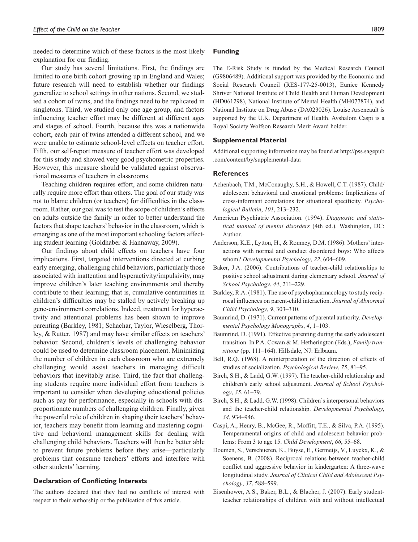needed to determine which of these factors is the most likely explanation for our finding.

Our study has several limitations. First, the findings are limited to one birth cohort growing up in England and Wales; future research will need to establish whether our findings generalize to school settings in other nations. Second, we studied a cohort of twins, and the findings need to be replicated in singletons. Third, we studied only one age group, and factors influencing teacher effort may be different at different ages and stages of school. Fourth, because this was a nationwide cohort, each pair of twins attended a different school, and we were unable to estimate school-level effects on teacher effort. Fifth, our self-report measure of teacher effort was developed for this study and showed very good psychometric properties. However, this measure should be validated against observational measures of teachers in classrooms.

Teaching children requires effort, and some children naturally require more effort than others. The goal of our study was not to blame children (or teachers) for difficulties in the classroom. Rather, our goal was to test the scope of children's effects on adults outside the family in order to better understand the factors that shape teachers' behavior in the classroom, which is emerging as one of the most important schooling factors affecting student learning (Goldhaber & Hannaway, 2009).

Our findings about child effects on teachers have four implications. First, targeted interventions directed at curbing early emerging, challenging child behaviors, particularly those associated with inattention and hyperactivity/impulsivity, may improve children's later teaching environments and thereby contribute to their learning; that is, cumulative continuities in children's difficulties may be stalled by actively breaking up gene-environment correlations. Indeed, treatment for hyperactivity and attentional problems has been shown to improve parenting (Barkley, 1981; Schachar, Taylor, Wieselberg, Thorley, & Rutter, 1987) and may have similar effects on teachers' behavior. Second, children's levels of challenging behavior could be used to determine classroom placement. Minimizing the number of children in each classroom who are extremely challenging would assist teachers in managing difficult behaviors that inevitably arise. Third, the fact that challenging students require more individual effort from teachers is important to consider when developing educational policies such as pay for performance, especially in schools with disproportionate numbers of challenging children. Finally, given the powerful role of children in shaping their teachers' behavior, teachers may benefit from learning and mastering cognitive and behavioral management skills for dealing with challenging child behaviors. Teachers will then be better able to prevent future problems before they arise—particularly problems that consume teachers' efforts and interfere with other students' learning.

#### **Declaration of Conflicting Interests**

The authors declared that they had no conflicts of interest with respect to their authorship or the publication of this article.

### **Funding**

The E-Risk Study is funded by the Medical Research Council (G9806489). Additional support was provided by the Economic and Social Research Council (RES-177-25-0013), Eunice Kennedy Shriver National Institute of Child Health and Human Development (HD061298), National Institute of Mental Health (MH077874), and National Institute on Drug Abuse (DA023026). Louise Arseneault is supported by the U.K. Department of Health. Avshalom Caspi is a Royal Society Wolfson Research Merit Award holder.

### **Supplemental Material**

Additional supporting information may be found at http://pss.sagepub .com/content/by/supplemental-data

#### **References**

- Achenbach, T.M., McConaughy, S.H., & Howell, C.T. (1987). Child/ adolescent behavioral and emotional problems: Implications of cross-informant correlations for situational specificity. *Psychological Bulletin*, *101*, 213–232.
- American Psychiatric Association. (1994). *Diagnostic and statistical manual of mental disorders* (4th ed.). Washington, DC: Author.
- Anderson, K.E., Lytton, H., & Romney, D.M. (1986). Mothers' interactions with normal and conduct disordered boys: Who affects whom? *Developmental Psychology*, *22*, 604–609.
- Baker, J.A. (2006). Contributions of teacher-child relationships to positive school adjustment during elementary school. *Journal of School Psychology*, *44*, 211–229.
- Barkley, R.A. (1981). The use of psychopharmacology to study reciprocal influences on parent-child interaction. *Journal of Abnormal Child Psychology*, *9*, 303–310.
- Baumrind, D. (1971). Current patterns of parental authority. *Developmental Psychology Monographs*, *4*, 1–103.
- Baumrind, D. (1991). Effective parenting during the early adolescent transition. In P.A. Cowan & M. Hetherington (Eds.), *Family transitions* (pp. 111–164). Hillsdale, NJ: Erlbaum.
- Bell, R.Q. (1968). A reinterpretation of the direction of effects of studies of socialization. *Psychological Review*, *75*, 81–95.
- Birch, S.H., & Ladd, G.W. (1997). The teacher-child relationship and children's early school adjustment. *Journal of School Psychology*, *35*, 61–79.
- Birch, S.H., & Ladd, G.W. (1998). Children's interpersonal behaviors and the teacher-child relationship. *Developmental Psychology*, *34*, 934–946.
- Caspi, A., Henry, B., McGee, R., Moffitt, T.E., & Silva, P.A. (1995). Temperamental origins of child and adolescent behavior problems: From 3 to age 15. *Child Development*, *66*, 55–68.
- Doumen, S., Verschueren, K., Buyse, E., Germeijs, V., Luyckx, K., & Soenens, B. (2008). Reciprocal relations between teacher-child conflict and aggressive behavior in kindergarten: A three-wave longitudinal study. *Journal of Clinical Child and Adolescent Psychology*, *37*, 588–599.
- Eisenhower, A.S., Baker, B.L., & Blacher, J. (2007). Early studentteacher relationships of children with and without intellectual